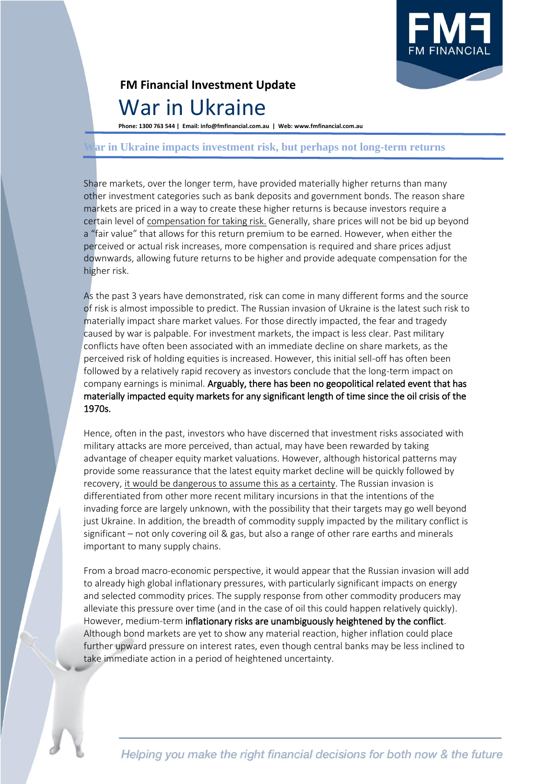

## **FM Financial Investment Update** War in Ukraine

**Phone: 1300 763 544 | Email: info@fmfinancial.com.au | Web: www.fmfinancial.com.au**

## **War in Ukraine impacts investment risk, but perhaps not long-term returns**

Share markets, over the longer term, have provided materially higher returns than many other investment categories such as bank deposits and government bonds. The reason share markets are priced in a way to create these higher returns is because investors require a certain level of compensation for taking risk. Generally, share prices will not be bid up beyond a "fair value" that allows for this return premium to be earned. However, when either the perceived or actual risk increases, more compensation is required and share prices adjust downwards, allowing future returns to be higher and provide adequate compensation for the higher risk.

As the past 3 years have demonstrated, risk can come in many different forms and the source of risk is almost impossible to predict. The Russian invasion of Ukraine is the latest such risk to materially impact share market values. For those directly impacted, the fear and tragedy caused by war is palpable. For investment markets, the impact is less clear. Past military conflicts have often been associated with an immediate decline on share markets, as the perceived risk of holding equities is increased. However, this initial sell-off has often been followed by a relatively rapid recovery as investors conclude that the long-term impact on company earnings is minimal. Arguably, there has been no geopolitical related event that has materially impacted equity markets for any significant length of time since the oil crisis of the 1970s.

Hence, often in the past, investors who have discerned that investment risks associated with military attacks are more perceived, than actual, may have been rewarded by taking advantage of cheaper equity market valuations. However, although historical patterns may provide some reassurance that the latest equity market decline will be quickly followed by recovery, it would be dangerous to assume this as a certainty. The Russian invasion is differentiated from other more recent military incursions in that the intentions of the invading force are largely unknown, with the possibility that their targets may go well beyond just Ukraine. In addition, the breadth of commodity supply impacted by the military conflict is significant – not only covering oil & gas, but also a range of other rare earths and minerals important to many supply chains.

From a broad macro-economic perspective, it would appear that the Russian invasion will add to already high global inflationary pressures, with particularly significant impacts on energy and selected commodity prices. The supply response from other commodity producers may alleviate this pressure over time (and in the case of oil this could happen relatively quickly). However, medium-term inflationary risks are unambiguously heightened by the conflict. Although bond markets are yet to show any material reaction, higher inflation could place further upward pressure on interest rates, even though central banks may be less inclined to take immediate action in a period of heightened uncertainty.